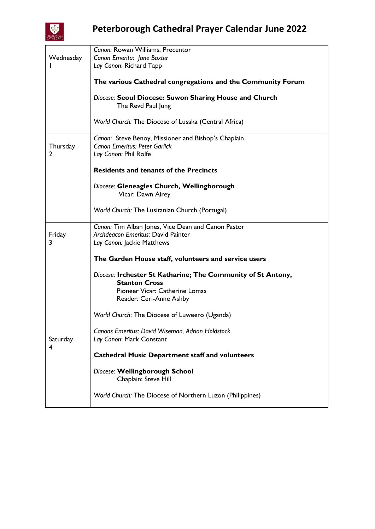

|               | Canon: Rowan Williams, Precentor                                                                                     |
|---------------|----------------------------------------------------------------------------------------------------------------------|
| Wednesday     | Canon Emerita: Jane Baxter                                                                                           |
|               | Lay Canon: Richard Tapp                                                                                              |
|               |                                                                                                                      |
|               | The various Cathedral congregations and the Community Forum                                                          |
|               | Diocese: Seoul Diocese: Suwon Sharing House and Church<br>The Revd Paul Jung                                         |
|               | World Church: The Diocese of Lusaka (Central Africa)                                                                 |
| Thursday<br>2 | Canon: Steve Benoy, Missioner and Bishop's Chaplain<br><b>Canon Emeritus: Peter Garlick</b><br>Lay Canon: Phil Rolfe |
|               | <b>Residents and tenants of the Precincts</b>                                                                        |
|               | Diocese: Gleneagles Church, Wellingborough<br>Vicar: Dawn Airey                                                      |
|               | World Church: The Lusitanian Church (Portugal)                                                                       |
|               | Canon: Tim Alban Jones, Vice Dean and Canon Pastor                                                                   |
| Friday        | Archdeacon Emeritus: David Painter                                                                                   |
| 3             | Lay Canon: Jackie Matthews                                                                                           |
|               |                                                                                                                      |
|               | The Garden House staff, volunteers and service users                                                                 |
|               | Diocese: Irchester St Katharine; The Community of St Antony,<br><b>Stanton Cross</b>                                 |
|               | Pioneer Vicar: Catherine Lomas                                                                                       |
|               | Reader: Ceri-Anne Ashby                                                                                              |
|               |                                                                                                                      |
|               | World Church: The Diocese of Luweero (Uganda)                                                                        |
|               | Canons Emeritus: David Wiseman, Adrian Holdstock                                                                     |
| Saturday      | Lay Canon: Mark Constant                                                                                             |
| 4             |                                                                                                                      |
|               | <b>Cathedral Music Department staff and volunteers</b>                                                               |
|               | Diocese: Wellingborough School<br>Chaplain: Steve Hill                                                               |
|               | World Church: The Diocese of Northern Luzon (Philippines)                                                            |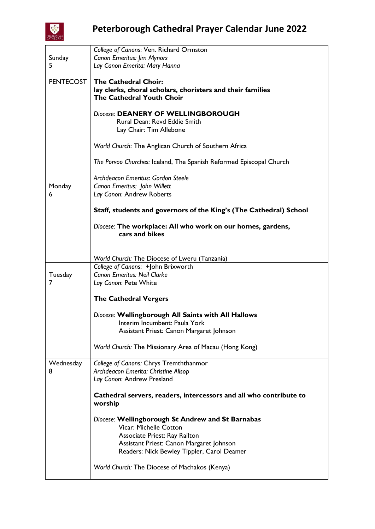

|                  | College of Canons: Ven. Richard Ormston                             |
|------------------|---------------------------------------------------------------------|
| Sunday           | <b>Canon Emeritus: Jim Mynors</b>                                   |
| 5                | Lay Canon Emerita: Mary Hanna                                       |
|                  |                                                                     |
| <b>PENTECOST</b> | <b>The Cathedral Choir:</b>                                         |
|                  | lay clerks, choral scholars, choristers and their families          |
|                  | The Cathedral Youth Choir                                           |
|                  |                                                                     |
|                  | Diocese: DEANERY OF WELLINGBOROUGH                                  |
|                  | Rural Dean: Revd Eddie Smith                                        |
|                  | Lay Chair: Tim Allebone                                             |
|                  |                                                                     |
|                  | World Church: The Anglican Church of Southern Africa                |
|                  |                                                                     |
|                  | The Porvoo Churches: Iceland, The Spanish Reformed Episcopal Church |
|                  |                                                                     |
|                  | Archdeacon Emeritus: Gordon Steele                                  |
| Monday           | Canon Emeritus: John Willett                                        |
| 6                | Lay Canon: Andrew Roberts                                           |
|                  |                                                                     |
|                  | Staff, students and governors of the King's (The Cathedral) School  |
|                  |                                                                     |
|                  | Diocese: The workplace: All who work on our homes, gardens,         |
|                  | cars and bikes                                                      |
|                  |                                                                     |
|                  |                                                                     |
|                  | World Church: The Diocese of Lweru (Tanzania)                       |
|                  | College of Canons: +John Brixworth                                  |
| Tuesday          | <b>Canon Emeritus: Neil Clarke</b>                                  |
| 7                |                                                                     |
|                  | Lay Canon: Pete White                                               |
|                  | <b>The Cathedral Vergers</b>                                        |
|                  |                                                                     |
|                  | Diocese: Wellingborough All Saints with All Hallows                 |
|                  |                                                                     |
|                  | Interim Incumbent: Paula York                                       |
|                  | Assistant Priest: Canon Margaret Johnson                            |
|                  |                                                                     |
|                  | World Church: The Missionary Area of Macau (Hong Kong)              |
|                  |                                                                     |
| Wednesday        | College of Canons: Chrys Tremththanmor                              |
| 8                | Archdeacon Emerita: Christine Allsop                                |
|                  | Lay Canon: Andrew Presland                                          |
|                  |                                                                     |
|                  | Cathedral servers, readers, intercessors and all who contribute to  |
|                  | worship                                                             |
|                  |                                                                     |
|                  | Diocese: Wellingborough St Andrew and St Barnabas                   |
|                  | Vicar: Michelle Cotton                                              |
|                  | Associate Priest: Ray Railton                                       |
|                  | Assistant Priest: Canon Margaret Johnson                            |
|                  | Readers: Nick Bewley Tippler, Carol Deamer                          |
|                  |                                                                     |
|                  | World Church: The Diocese of Machakos (Kenya)                       |
|                  |                                                                     |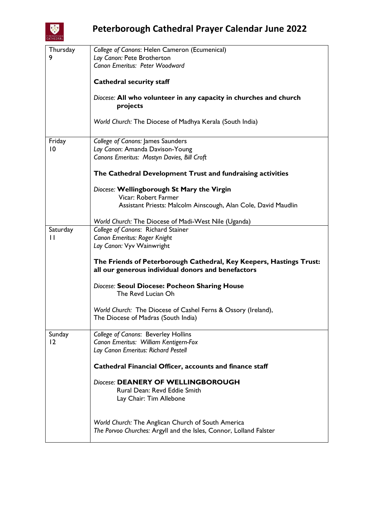

| Thursday<br>9 | College of Canons: Helen Cameron (Ecumenical)<br>Lay Canon: Pete Brotherton                                               |
|---------------|---------------------------------------------------------------------------------------------------------------------------|
|               | Canon Emeritus: Peter Woodward                                                                                            |
|               | <b>Cathedral security staff</b>                                                                                           |
|               | Diocese: All who volunteer in any capacity in churches and church<br>projects                                             |
|               | World Church: The Diocese of Madhya Kerala (South India)                                                                  |
| Friday        | College of Canons: James Saunders                                                                                         |
| 10            | Lay Canon: Amanda Davison-Young                                                                                           |
|               | Canons Emeritus: Mostyn Davies, Bill Croft                                                                                |
|               | The Cathedral Development Trust and fundraising activities                                                                |
|               | Diocese: Wellingborough St Mary the Virgin<br>Vicar: Robert Farmer                                                        |
|               | Assistant Priests: Malcolm Ainscough, Alan Cole, David Maudlin                                                            |
|               | World Church: The Diocese of Madi-West Nile (Uganda)                                                                      |
| Saturday      | College of Canons: Richard Stainer                                                                                        |
| $\mathbf{I}$  | Canon Emeritus: Roger Knight                                                                                              |
|               | Lay Canon: Vyv Wainwright                                                                                                 |
|               | The Friends of Peterborough Cathedral, Key Keepers, Hastings Trust:<br>all our generous individual donors and benefactors |
|               | Diocese: Seoul Diocese: Pocheon Sharing House<br>The Revd Lucian Oh                                                       |
|               | World Church: The Diocese of Cashel Ferns & Ossory (Ireland),<br>The Diocese of Madras (South India)                      |
| Sunday        | College of Canons: Beverley Hollins                                                                                       |
| 12            | Canon Emeritus: William Kentigern-Fox<br>Lay Canon Emeritus: Richard Pestell                                              |
|               | Cathedral Financial Officer, accounts and finance staff                                                                   |
|               | Diocese: DEANERY OF WELLINGBOROUGH<br>Rural Dean: Revd Eddie Smith                                                        |
|               | Lay Chair: Tim Allebone                                                                                                   |
|               | World Church: The Anglican Church of South America<br>The Porvoo Churches: Argyll and the Isles, Connor, Lolland Falster  |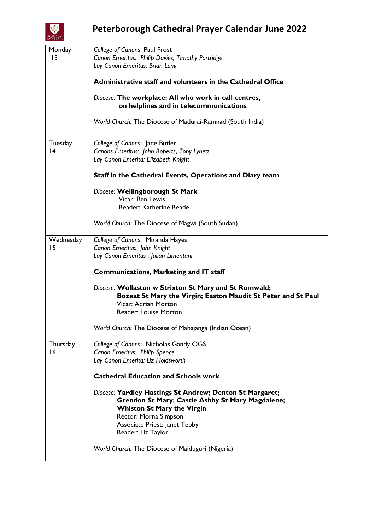

| Monday          | College of Canons: Paul Frost                                 |
|-----------------|---------------------------------------------------------------|
|                 |                                                               |
| $\overline{13}$ | Canon Emeritus: Philip Davies, Timothy Partridge              |
|                 | Lay Canon Emeritus: Brian Long                                |
|                 |                                                               |
|                 |                                                               |
|                 | Administrative staff and volunteers in the Cathedral Office   |
|                 |                                                               |
|                 | Diocese: The workplace: All who work in call centres,         |
|                 |                                                               |
|                 | on helplines and in telecommunications                        |
|                 |                                                               |
|                 | World Church: The Diocese of Madurai-Ramnad (South India)     |
|                 |                                                               |
|                 |                                                               |
|                 |                                                               |
| Tuesday         | College of Canons: Jane Butler                                |
| 4               | Canons Emeritus: John Roberts, Tony Lynett                    |
|                 | Lay Canon Emerita: Elizabeth Knight                           |
|                 |                                                               |
|                 |                                                               |
|                 | Staff in the Cathedral Events, Operations and Diary team      |
|                 |                                                               |
|                 |                                                               |
|                 | Diocese: Wellingborough St Mark                               |
|                 | Vicar: Ben Lewis                                              |
|                 | Reader: Katherine Reade                                       |
|                 |                                                               |
|                 |                                                               |
|                 | World Church: The Diocese of Magwi (South Sudan)              |
|                 |                                                               |
|                 |                                                               |
| Wednesday       | College of Canons: Miranda Hayes                              |
| 15              | Canon Emeritus: John Knight                                   |
|                 | Lay Canon Emeritus : Julian Limentani                         |
|                 |                                                               |
|                 |                                                               |
|                 | <b>Communications, Marketing and IT staff</b>                 |
|                 |                                                               |
|                 | Diocese: Wollaston w Strixton St Mary and St Romwald;         |
|                 |                                                               |
|                 | Bozeat St Mary the Virgin; Easton Maudit St Peter and St Paul |
|                 | Vicar: Adrian Morton                                          |
|                 | Reader: Louise Morton                                         |
|                 |                                                               |
|                 |                                                               |
|                 | World Church: The Diocese of Mahajanga (Indian Ocean)         |
|                 |                                                               |
|                 |                                                               |
| Thursday        | College of Canons: Nicholas Gandy OGS                         |
| 16              | Canon Emeritus: Philip Spence                                 |
|                 | Lay Canon Emerita: Liz Holdsworth                             |
|                 |                                                               |
|                 |                                                               |
|                 | <b>Cathedral Education and Schools work</b>                   |
|                 |                                                               |
|                 | Diocese: Yardley Hastings St Andrew; Denton St Margaret;      |
|                 |                                                               |
|                 | Grendon St Mary; Castle Ashby St Mary Magdalene;              |
|                 | <b>Whiston St Mary the Virgin</b>                             |
|                 | Rector: Morna Simpson                                         |
|                 |                                                               |
|                 | <b>Associate Priest: Janet Tebby</b>                          |
|                 | Reader: Liz Taylor                                            |
|                 |                                                               |
|                 |                                                               |
|                 | World Church: The Diocese of Maiduguri (Nigeria)              |
|                 |                                                               |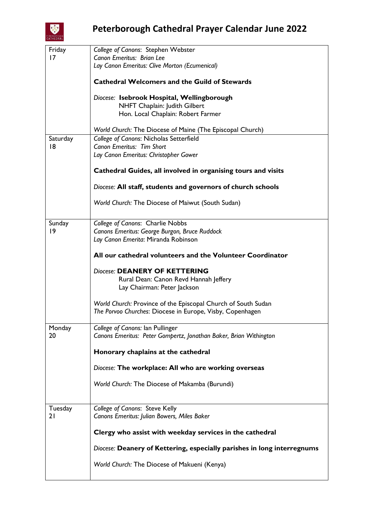

| Friday   | College of Canons: Stephen Webster                                      |
|----------|-------------------------------------------------------------------------|
| 17       | Canon Emeritus: Brian Lee                                               |
|          | Lay Canon Emeritus: Clive Morton (Ecumenical)                           |
|          | <b>Cathedral Welcomers and the Guild of Stewards</b>                    |
|          | Diocese: Isebrook Hospital, Wellingborough                              |
|          | NHFT Chaplain: Judith Gilbert                                           |
|          | Hon. Local Chaplain: Robert Farmer                                      |
|          |                                                                         |
|          | World Church: The Diocese of Maine (The Episcopal Church)               |
| Saturday | College of Canons: Nicholas Setterfield                                 |
| 18       | Canon Emeritus: Tim Short                                               |
|          | Lay Canon Emeritus: Christopher Gower                                   |
|          | Cathedral Guides, all involved in organising tours and visits           |
|          | Diocese: All staff, students and governors of church schools            |
|          | World Church: The Diocese of Maiwut (South Sudan)                       |
| Sunday   | College of Canons: Charlie Nobbs                                        |
| 9        | Canons Emeritus: George Burgon, Bruce Ruddock                           |
|          | Lay Canon Emerita: Miranda Robinson                                     |
|          |                                                                         |
|          | All our cathedral volunteers and the Volunteer Coordinator              |
|          | Diocese: DEANERY OF KETTERING                                           |
|          | Rural Dean: Canon Revd Hannah Jeffery                                   |
|          | Lay Chairman: Peter Jackson                                             |
|          |                                                                         |
|          | World Church: Province of the Episcopal Church of South Sudan           |
|          | The Porvoo Churches: Diocese in Europe, Visby, Copenhagen               |
| Monday   | College of Canons: Ian Pullinger                                        |
| 20       | Canons Emeritus: Peter Gompertz, Jonathan Baker, Brian Withington       |
|          |                                                                         |
|          | Honorary chaplains at the cathedral                                     |
|          | Diocese: The workplace: All who are working overseas                    |
|          | World Church: The Diocese of Makamba (Burundi)                          |
|          |                                                                         |
| Tuesday  | College of Canons: Steve Kelly                                          |
| 21       | Canons Emeritus: Julian Bowers, Miles Baker                             |
|          |                                                                         |
|          | Clergy who assist with weekday services in the cathedral                |
|          | Diocese: Deanery of Kettering, especially parishes in long interregnums |
|          |                                                                         |
|          | World Church: The Diocese of Makueni (Kenya)                            |
|          |                                                                         |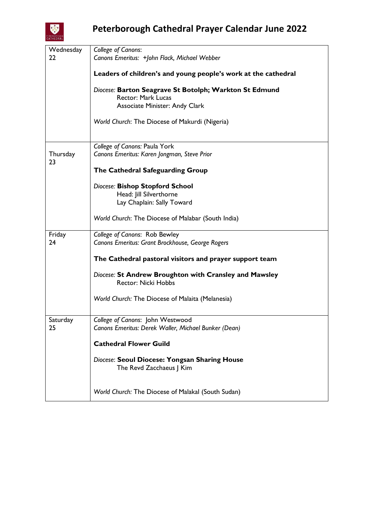

| Wednesday      | <b>College of Canons:</b>                                                            |
|----------------|--------------------------------------------------------------------------------------|
| 22             | Canons Emeritus: +John Flack, Michael Webber                                         |
|                | Leaders of children's and young people's work at the cathedral                       |
|                | Diocese: Barton Seagrave St Botolph; Warkton St Edmund<br><b>Rector: Mark Lucas</b>  |
|                | <b>Associate Minister: Andy Clark</b>                                                |
|                | World Church: The Diocese of Makurdi (Nigeria)                                       |
|                | College of Canons: Paula York                                                        |
| Thursday<br>23 | Canons Emeritus: Karen Jongman, Steve Prior                                          |
|                | The Cathedral Safeguarding Group                                                     |
|                | Diocese: Bishop Stopford School                                                      |
|                | Head: Jill Silverthorne                                                              |
|                | Lay Chaplain: Sally Toward                                                           |
|                | World Church: The Diocese of Malabar (South India)                                   |
| Friday         | College of Canons: Rob Bewley                                                        |
| 24             | Canons Emeritus: Grant Brockhouse, George Rogers                                     |
|                | The Cathedral pastoral visitors and prayer support team                              |
|                | Diocese: St Andrew Broughton with Cransley and Mawsley<br><b>Rector: Nicki Hobbs</b> |
|                | World Church: The Diocese of Malaita (Melanesia)                                     |
| Saturday       | College of Canons: John Westwood                                                     |
| 25             | Canons Emeritus: Derek Waller, Michael Bunker (Dean)                                 |
|                | <b>Cathedral Flower Guild</b>                                                        |
|                | Diocese: Seoul Diocese: Yongsan Sharing House<br>The Revd Zacchaeus J Kim            |
|                | World Church: The Diocese of Malakal (South Sudan)                                   |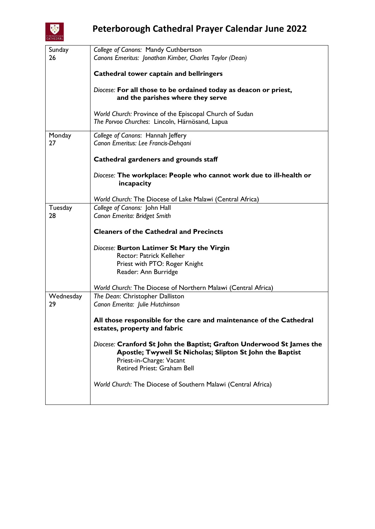

## **Peterborough Cathedral Prayer Calendar June 2022**

| Sunday    | College of Canons: Mandy Cuthbertson                                  |
|-----------|-----------------------------------------------------------------------|
| 26        | Canons Emeritus: Jonathan Kimber, Charles Taylor (Dean)               |
|           |                                                                       |
|           | Cathedral tower captain and bellringers                               |
|           |                                                                       |
|           | Diocese: For all those to be ordained today as deacon or priest,      |
|           | and the parishes where they serve                                     |
|           | World Church: Province of the Episcopal Church of Sudan               |
|           | The Porvoo Churches: Lincoln, Härnösand, Lapua                        |
|           |                                                                       |
| Monday    | College of Canons: Hannah Jeffery                                     |
| 27        | Canon Emeritus: Lee Francis-Dehqani                                   |
|           |                                                                       |
|           | Cathedral gardeners and grounds staff                                 |
|           |                                                                       |
|           | Diocese: The workplace: People who cannot work due to ill-health or   |
|           | incapacity                                                            |
|           | World Church: The Diocese of Lake Malawi (Central Africa)             |
| Tuesday   | College of Canons: John Hall                                          |
| 28        | Canon Emerita: Bridget Smith                                          |
|           |                                                                       |
|           | <b>Cleaners of the Cathedral and Precincts</b>                        |
|           |                                                                       |
|           | Diocese: Burton Latimer St Mary the Virgin                            |
|           | Rector: Patrick Kelleher                                              |
|           | Priest with PTO: Roger Knight                                         |
|           | Reader: Ann Burridge                                                  |
|           | World Church: The Diocese of Northern Malawi (Central Africa)         |
| Wednesday | The Dean: Christopher Dalliston                                       |
| 29        | Canon Emerita: Julie Hutchinson                                       |
|           |                                                                       |
|           | All those responsible for the care and maintenance of the Cathedral   |
|           | estates, property and fabric                                          |
|           |                                                                       |
|           | Diocese: Cranford St John the Baptist; Grafton Underwood St James the |
|           | Apostle; Twywell St Nicholas; Slipton St John the Baptist             |
|           | Priest-in-Charge: Vacant<br>Retired Priest: Graham Bell               |
|           |                                                                       |
|           | World Church: The Diocese of Southern Malawi (Central Africa)         |
|           |                                                                       |
|           |                                                                       |
|           |                                                                       |